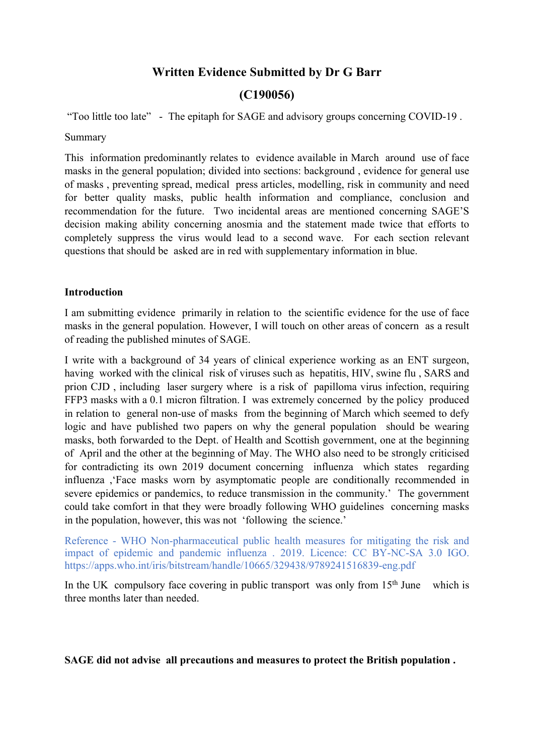# **Written Evidence Submitted by Dr G Barr**

# **(C190056)**

"Too little too late" - The epitaph for SAGE and advisory groups concerning COVID-19 .

### Summary

This information predominantly relates to evidence available in March around use of face masks in the general population; divided into sections: background , evidence for general use of masks , preventing spread, medical press articles, modelling, risk in community and need for better quality masks, public health information and compliance, conclusion and recommendation for the future. Two incidental areas are mentioned concerning SAGE'S decision making ability concerning anosmia and the statement made twice that efforts to completely suppress the virus would lead to a second wave. For each section relevant questions that should be asked are in red with supplementary information in blue.

# **Introduction**

I am submitting evidence primarily in relation to the scientific evidence for the use of face masks in the general population. However, I will touch on other areas of concern as a result of reading the published minutes of SAGE.

I write with a background of 34 years of clinical experience working as an ENT surgeon, having worked with the clinical risk of viruses such as hepatitis, HIV, swine flu , SARS and prion CJD , including laser surgery where is a risk of papilloma virus infection, requiring FFP3 masks with a 0.1 micron filtration. I was extremely concerned by the policy produced in relation to general non-use of masks from the beginning of March which seemed to defy logic and have published two papers on why the general population should be wearing masks, both forwarded to the Dept. of Health and Scottish government, one at the beginning of April and the other at the beginning of May. The WHO also need to be strongly criticised for contradicting its own 2019 document concerning influenza which states regarding influenza ,'Face masks worn by asymptomatic people are conditionally recommended in severe epidemics or pandemics, to reduce transmission in the community.' The government could take comfort in that they were broadly following WHO guidelines concerning masks in the population, however, this was not 'following the science.'

Reference - WHO Non-pharmaceutical public health measures for mitigating the risk and impact of epidemic and pandemic influenza . 2019. Licence: CC BY-NC-SA 3.0 IGO. https://apps.who.int/iris/bitstream/handle/10665/329438/9789241516839-eng.pdf

In the UK compulsory face covering in public transport was only from  $15<sup>th</sup>$  June which is three months later than needed.

**SAGE did not advise all precautions and measures to protect the British population .**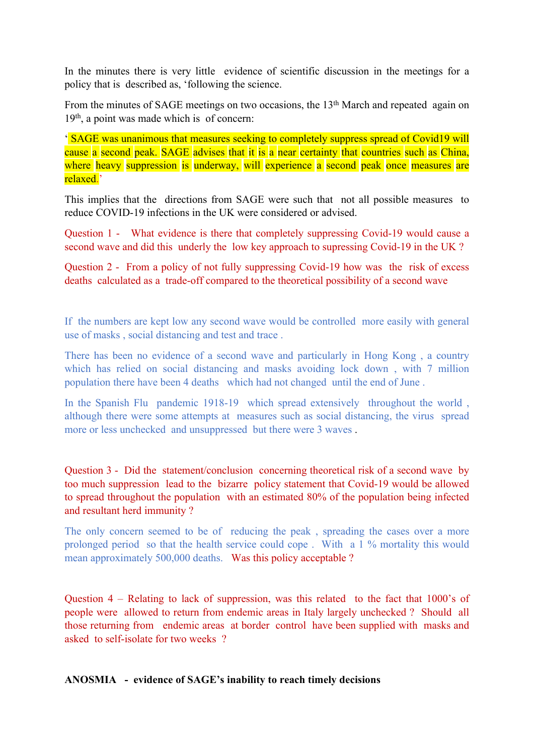In the minutes there is very little evidence of scientific discussion in the meetings for a policy that is described as, 'following the science.

From the minutes of SAGE meetings on two occasions, the 13<sup>th</sup> March and repeated again on 19th , a point was made which is of concern:

' SAGE was unanimous that measures seeking to completely suppress spread of Covid19 will cause a second peak. SAGE advises that it is a near certainty that countries such as China, where heavy suppression is underway, will experience a second peak once measures are relaxed<sup>'</sup>

This implies that the directions from SAGE were such that not all possible measures to reduce COVID-19 infections in the UK were considered or advised.

Question 1 - What evidence is there that completely suppressing Covid-19 would cause a second wave and did this underly the low key approach to supressing Covid-19 in the UK ?

Question 2 - From a policy of not fully suppressing Covid-19 how was the risk of excess deaths calculated as a trade-off compared to the theoretical possibility of a second wave

If the numbers are kept low any second wave would be controlled more easily with general use of masks , social distancing and test and trace .

There has been no evidence of a second wave and particularly in Hong Kong , a country which has relied on social distancing and masks avoiding lock down, with 7 million population there have been 4 deaths which had not changed until the end of June .

In the Spanish Flu pandemic 1918-19 which spread extensively throughout the world , although there were some attempts at measures such as social distancing, the virus spread more or less unchecked and unsuppressed but there were 3 waves .

Question 3 - Did the statement/conclusion concerning theoretical risk of a second wave by too much suppression lead to the bizarre policy statement that Covid-19 would be allowed to spread throughout the population with an estimated 80% of the population being infected and resultant herd immunity ?

The only concern seemed to be of reducing the peak , spreading the cases over a more prolonged period so that the health service could cope . With a 1 % mortality this would mean approximately 500,000 deaths. Was this policy acceptable ?

Question 4 – Relating to lack of suppression, was this related to the fact that 1000's of people were allowed to return from endemic areas in Italy largely unchecked ? Should all those returning from endemic areas at border control have been supplied with masks and asked to self-isolate for two weeks ?

# **ANOSMIA - evidence of SAGE's inability to reach timely decisions**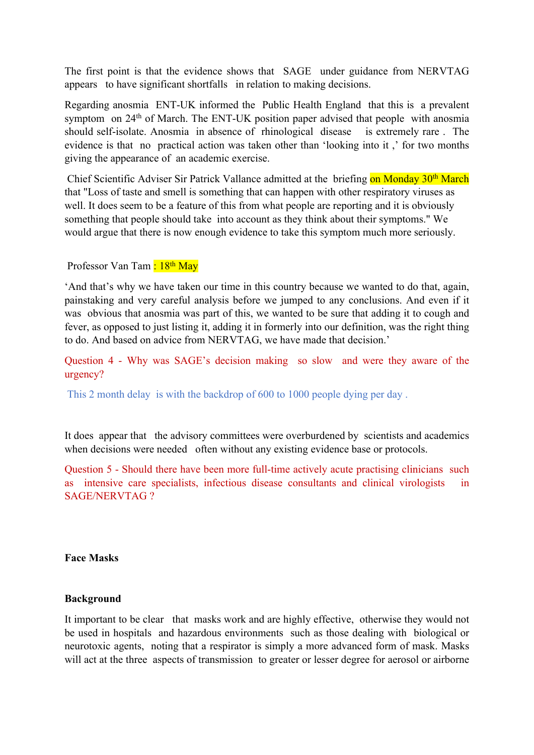The first point is that the evidence shows that SAGE under guidance from NERVTAG appears to have significant shortfalls in relation to making decisions.

Regarding anosmia ENT-UK informed the Public Health England that this is a prevalent symptom on 24<sup>th</sup> of March. The ENT-UK position paper advised that people with anosmia should self-isolate. Anosmia in absence of rhinological disease is extremely rare . The evidence is that no practical action was taken other than 'looking into it ,' for two months giving the appearance of an academic exercise.

Chief Scientific Adviser Sir Patrick Vallance admitted at the briefing on Monday 30<sup>th</sup> March that "Loss of taste and smell is something that can happen with other respiratory viruses as well. It does seem to be a feature of this from what people are reporting and it is obviously something that people should take into account as they think about their symptoms." We would argue that there is now enough evidence to take this symptom much more seriously.

Professor Van Tam : 18<sup>th</sup> May

'And that's why we have taken our time in this country because we wanted to do that, again, painstaking and very careful analysis before we jumped to any conclusions. And even if it was obvious that anosmia was part of this, we wanted to be sure that adding it to cough and fever, as opposed to just listing it, adding it in formerly into our definition, was the right thing to do. And based on advice from NERVTAG, we have made that decision.'

Question 4 - Why was SAGE's decision making so slow and were they aware of the urgency?

This 2 month delay is with the backdrop of 600 to 1000 people dying per day .

It does appear that the advisory committees were overburdened by scientists and academics when decisions were needed often without any existing evidence base or protocols.

Question 5 - Should there have been more full-time actively acute practising clinicians such as intensive care specialists, infectious disease consultants and clinical virologists in SAGE/NERVTAG ?

**Face Masks**

# **Background**

It important to be clear that masks work and are highly effective, otherwise they would not be used in hospitals and hazardous environments such as those dealing with biological or neurotoxic agents, noting that a respirator is simply a more advanced form of mask. Masks will act at the three aspects of transmission to greater or lesser degree for aerosol or airborne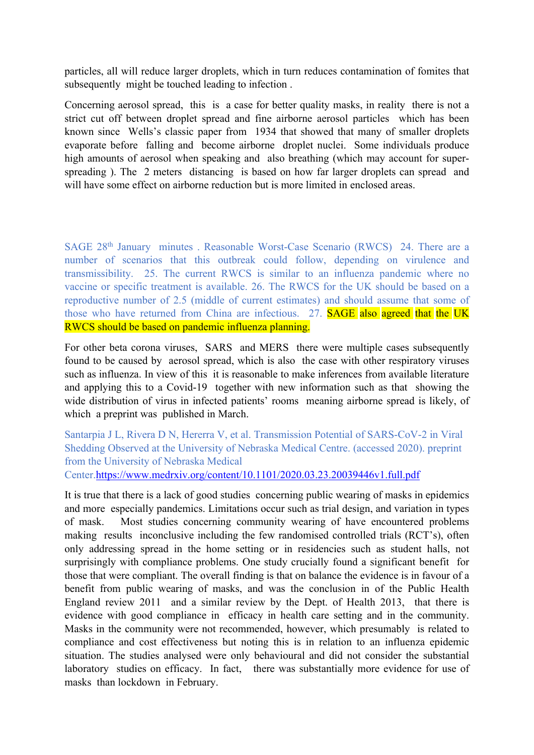particles, all will reduce larger droplets, which in turn reduces contamination of fomites that subsequently might be touched leading to infection .

Concerning aerosol spread, this is a case for better quality masks, in reality there is not a strict cut off between droplet spread and fine airborne aerosol particles which has been known since Wells's classic paper from 1934 that showed that many of smaller droplets evaporate before falling and become airborne droplet nuclei. Some individuals produce high amounts of aerosol when speaking and also breathing (which may account for superspreading ). The 2 meters distancing is based on how far larger droplets can spread and will have some effect on airborne reduction but is more limited in enclosed areas.

SAGE 28th January minutes . Reasonable Worst-Case Scenario (RWCS) 24. There are a number of scenarios that this outbreak could follow, depending on virulence and transmissibility. 25. The current RWCS is similar to an influenza pandemic where no vaccine or specific treatment is available. 26. The RWCS for the UK should be based on a reproductive number of 2.5 (middle of current estimates) and should assume that some of those who have returned from China are infectious. 27. **SAGE** also agreed that the UK RWCS should be based on pandemic influenza planning.

For other beta corona viruses, SARS and MERS there were multiple cases subsequently found to be caused by aerosol spread, which is also the case with other respiratory viruses such as influenza. In view of this it is reasonable to make inferences from available literature and applying this to a Covid-19 together with new information such as that showing the wide distribution of virus in infected patients' rooms meaning airborne spread is likely, of which a preprint was published in March.

Santarpia J L, Rivera D N, Hererra V, et al. Transmission Potential of SARS-CoV-2 in Viral Shedding Observed at the University of Nebraska Medical Centre. (accessed 2020). preprint from the University of Nebraska Medical Center.<https://www.medrxiv.org/content/10.1101/2020.03.23.20039446v1.full.pdf>

It is true that there is a lack of good studies concerning public wearing of masks in epidemics and more especially pandemics. Limitations occur such as trial design, and variation in types of mask. Most studies concerning community wearing of have encountered problems making results inconclusive including the few randomised controlled trials (RCT's), often only addressing spread in the home setting or in residencies such as student halls, not surprisingly with compliance problems. One study crucially found a significant benefit for those that were compliant. The overall finding is that on balance the evidence is in favour of a benefit from public wearing of masks, and was the conclusion in of the Public Health England review 2011 and a similar review by the Dept. of Health 2013, that there is evidence with good compliance in efficacy in health care setting and in the community. Masks in the community were not recommended, however, which presumably is related to compliance and cost effectiveness but noting this is in relation to an influenza epidemic situation. The studies analysed were only behavioural and did not consider the substantial laboratory studies on efficacy. In fact, there was substantially more evidence for use of masks than lockdown in February.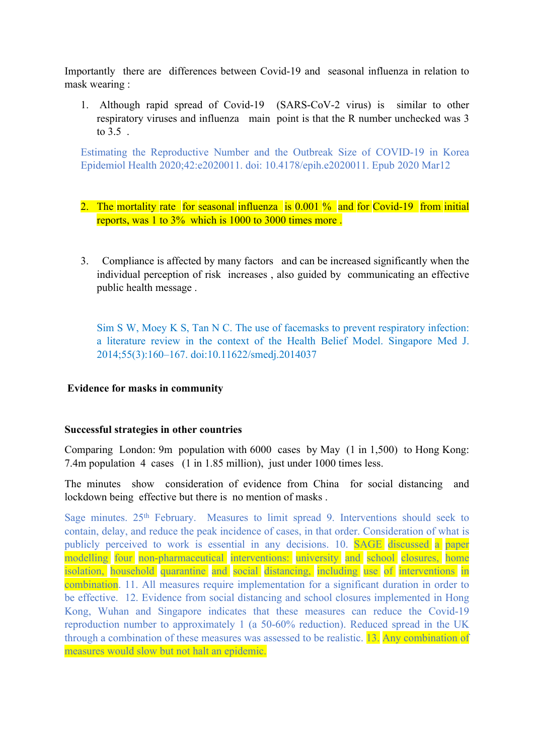Importantly there are differences between Covid-19 and seasonal influenza in relation to mask wearing :

1. Although rapid spread of Covid-19 (SARS-CoV-2 virus) is similar to other respiratory viruses and influenza main point is that the R number unchecked was 3 to 3.5 .

Estimating the Reproductive Number and the Outbreak Size of COVID-19 in Korea Epidemiol Health 2020;42:e2020011. doi: 10.4178/epih.e2020011. Epub 2020 Mar12

- 2. The mortality rate for seasonal influenza is 0.001 % and for Covid-19 from initial reports, was 1 to 3% which is 1000 to 3000 times more .
- 3. Compliance is affected by many factors and can be increased significantly when the individual perception of risk increases , also guided by communicating an effective public health message .

Sim S W, Moey K S, Tan N C. The use of facemasks to prevent respiratory infection: a literature review in the context of the Health Belief Model. Singapore Med J. 2014;55(3):160–167. doi:10.11622/smedj.2014037

# **Evidence for masks in community**

# **Successful strategies in other countries**

Comparing London: 9m population with 6000 cases by May (1 in 1,500) to Hong Kong: 7.4m population 4 cases (1 in 1.85 million), just under 1000 times less.

The minutes show consideration of evidence from China for social distancing and lockdown being effective but there is no mention of masks .

Sage minutes. 25<sup>th</sup> February. Measures to limit spread 9. Interventions should seek to contain, delay, and reduce the peak incidence of cases, in that order. Consideration of what is publicly perceived to work is essential in any decisions. 10. SAGE discussed a paper modelling four non-pharmaceutical interventions: university and school closures, home isolation, household quarantine and social distancing, including use of interventions in combination. 11. All measures require implementation for a significant duration in order to be effective. 12. Evidence from social distancing and school closures implemented in Hong Kong, Wuhan and Singapore indicates that these measures can reduce the Covid-19 reproduction number to approximately 1 (a 50-60% reduction). Reduced spread in the UK through a combination of these measures was assessed to be realistic. 13. Any combination of measures would slow but not halt an epidemic.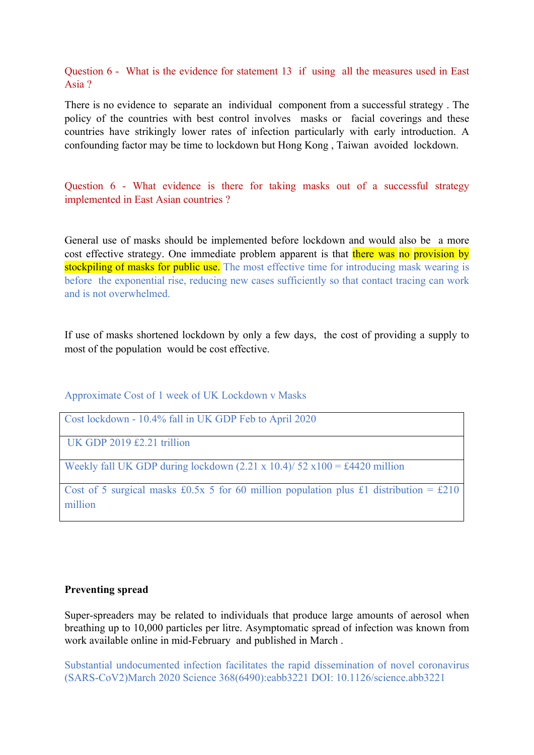Question 6 - What is the evidence for statement 13 if using all the measures used in East Asia ?

There is no evidence to separate an individual component from a successful strategy . The policy of the countries with best control involves masks or facial coverings and these countries have strikingly lower rates of infection particularly with early introduction. A confounding factor may be time to lockdown but Hong Kong , Taiwan avoided lockdown.

Question 6 - What evidence is there for taking masks out of a successful strategy implemented in East Asian countries ?

General use of masks should be implemented before lockdown and would also be a more cost effective strategy. One immediate problem apparent is that there was no provision by stockpiling of masks for public use. The most effective time for introducing mask wearing is before the exponential rise, reducing new cases sufficiently so that contact tracing can work and is not overwhelmed.

If use of masks shortened lockdown by only a few days, the cost of providing a supply to most of the population would be cost effective.

Approximate Cost of 1 week of UK Lockdown v Masks

Cost lockdown - 10.4% fall in UK GDP Feb to April 2020

UK GDP 2019 £2.21 trillion

Weekly fall UK GDP during lockdown  $(2.21 \times 10.4)/52 \times 100 = \text{\textsterling}4420$  million

Cost of 5 surgical masks £0.5x 5 for 60 million population plus £1 distribution = £210 million

#### **Preventing spread**

Super-spreaders may be related to individuals that produce large amounts of aerosol when breathing up to 10,000 particles per litre. Asymptomatic spread of infection was known from work available online in mid-February and published in March .

Substantial undocumented infection facilitates the rapid dissemination of novel coronavirus (SARS-CoV2)March 2020 Science 368(6490):eabb3221 DOI: [10.1126/science.abb3221](https://www.researchgate.net/deref/http%3A%2F%2Fdx.doi.org%2F10.1126%2Fscience.abb3221?_sg%5B0%5D=sJxhJ6EdDgXyJYCGY-4S0HfQka5uWvoJW1eknDOIJCEkH74ykyF9zWm5QXfm_KaGByuIWh4MPaVaWK-ovWYEGCwgnQ.0rDYKCL_kkbsAbwTtRAUb9lYUy7wm5RmUAcy9fesnS5Hm_MBJb2O-Sdyi5qpfNK1zs_TYlT6ZFyhssDBteuBVw)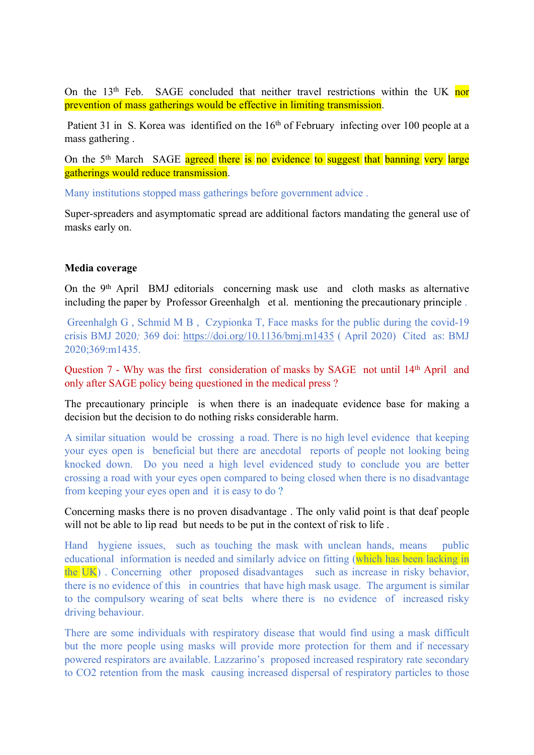On the  $13<sup>th</sup>$  Feb. SAGE concluded that neither travel restrictions within the UK nor prevention of mass gatherings would be effective in limiting transmission.

Patient 31 in S. Korea was identified on the 16<sup>th</sup> of February infecting over 100 people at a mass gathering .

On the 5<sup>th</sup> March SAGE agreed there is no evidence to suggest that banning very large gatherings would reduce transmission.

Many institutions stopped mass gatherings before government advice .

Super-spreaders and asymptomatic spread are additional factors mandating the general use of masks early on.

#### **Media coverage**

On the 9<sup>th</sup> April BMJ editorials concerning mask use and cloth masks as alternative including the paper by Professor Greenhalgh et al. mentioning the precautionary principle .

Greenhalgh G , Schmid M B , Czypionka T, Face masks for the public during the covid-19 crisis BMJ 2020*;* 369 doi: <https://doi.org/10.1136/bmj.m1435> ( April 2020)Cited as: BMJ 2020;369:m1435.

Question 7 - Why was the first consideration of masks by SAGE not until 14<sup>th</sup> April and only after SAGE policy being questioned in the medical press ?

The precautionary principle is when there is an inadequate evidence base for making a decision but the decision to do nothing risks considerable harm.

A similar situation would be crossing a road. There is no high level evidence that keeping your eyes open is beneficial but there are anecdotal reports of people not looking being knocked down. Do you need a high level evidenced study to conclude you are better crossing a road with your eyes open compared to being closed when there is no disadvantage from keeping your eyes open and it is easy to do ?

Concerning masks there is no proven disadvantage . The only valid point is that deaf people will not be able to lip read but needs to be put in the context of risk to life.

Hand hygiene issues, such as touching the mask with unclean hands, means public educational information is needed and similarly advice on fitting (which has been lacking in the UK) . Concerning other proposed disadvantages such as increase in risky behavior, there is no evidence of this in countries that have high mask usage. The argument is similar to the compulsory wearing of seat belts where there is no evidence of increased risky driving behaviour.

There are some individuals with respiratory disease that would find using a mask difficult but the more people using masks will provide more protection for them and if necessary powered respirators are available. Lazzarino's proposed increased respiratory rate secondary to CO2 retention from the mask causing increased dispersal of respiratory particles to those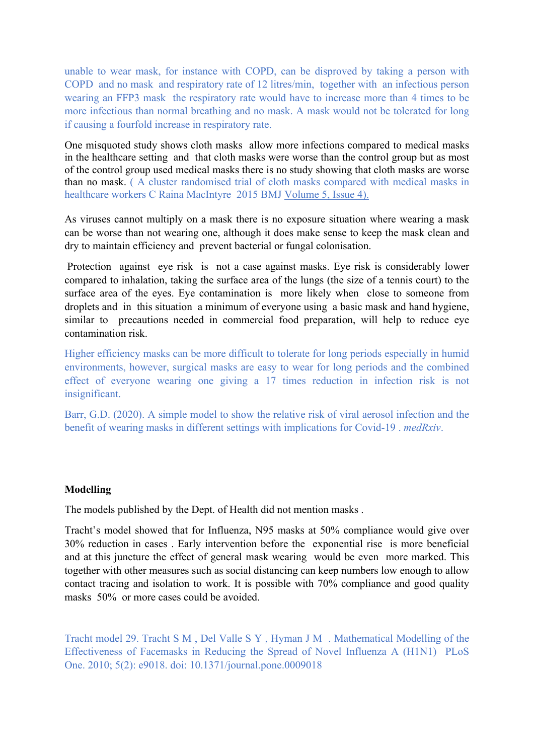unable to wear mask, for instance with COPD, can be disproved by taking a person with COPD and no mask and respiratory rate of 12 litres/min, together with an infectious person wearing an FFP3 mask the respiratory rate would have to increase more than 4 times to be more infectious than normal breathing and no mask. A mask would not be tolerated for long if causing a fourfold increase in respiratory rate.

One misquoted study shows cloth masks allow more infections compared to medical masks in the healthcare setting and that cloth masks were worse than the control group but as most of the control group used medical masks there is no study showing that cloth masks are worse than no mask. ( A cluster randomised trial of cloth masks compared with medical masks in healthcare workers C Raina MacIntyre 2015 BMJ [Volume](https://bmjopen.bmj.com/content/5/4) [5,](https://bmjopen.bmj.com/content/5/4) [Issue](https://bmjopen.bmj.com/content/5/4) [4\).](https://bmjopen.bmj.com/content/5/4)

As viruses cannot multiply on a mask there is no exposure situation where wearing a mask can be worse than not wearing one, although it does make sense to keep the mask clean and dry to maintain efficiency and prevent bacterial or fungal colonisation.

Protection against eye risk is not a case against masks. Eye risk is considerably lower compared to inhalation, taking the surface area of the lungs (the size of a tennis court) to the surface area of the eyes. Eye contamination is more likely when close to someone from droplets and in this situation a minimum of everyone using a basic mask and hand hygiene, similar to precautions needed in commercial food preparation, will help to reduce eye contamination risk.

Higher efficiency masks can be more difficult to tolerate for long periods especially in humid environments, however, surgical masks are easy to wear for long periods and the combined effect of everyone wearing one giving a 17 times reduction in infection risk is not insignificant.

Barr, G.D. (2020). A simple model to show the relative risk of viral aerosol infection and the benefit of wearing masks in different settings with implications for Covid-19 . *medRxiv*.

#### **Modelling**

The models published by the Dept. of Health did not mention masks .

Tracht's model showed that for Influenza, N95 masks at 50% compliance would give over 30% reduction in cases . Early intervention before the exponential rise is more beneficial and at this juncture the effect of general mask wearing would be even more marked. This together with other measures such as social distancing can keep numbers low enough to allow contact tracing and isolation to work. It is possible with 70% compliance and good quality masks 50% or more cases could be avoided.

Tracht model 29. Tracht S M , Del Valle S Y , Hyman J M . Mathematical Modelling of the Effectiveness of Facemasks in Reducing the Spread of Novel Influenza A (H1N1) PLoS One. 2010; 5(2): e9018. doi: 10.1371/journal.pone.0009018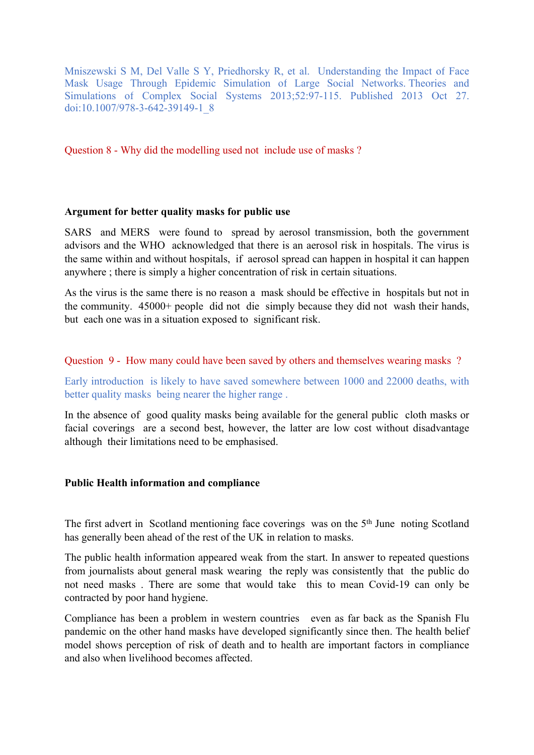Mniszewski S M, Del Valle S Y, Priedhorsky R, et al. Understanding the Impact of Face Mask Usage Through Epidemic Simulation of Large Social Networks. Theories and Simulations of Complex Social Systems 2013;52:97-115. Published 2013 Oct 27. doi:10.1007/978-3-642-39149-1\_8

Question 8 - Why did the modelling used not include use of masks ?

### **Argument for better quality masks for public use**

SARS and MERS were found to spread by aerosol transmission, both the government advisors and the WHO acknowledged that there is an aerosol risk in hospitals. The virus is the same within and without hospitals, if aerosol spread can happen in hospital it can happen anywhere ; there is simply a higher concentration of risk in certain situations.

As the virus is the same there is no reason a mask should be effective in hospitals but not in the community. 45000+ people did not die simply because they did not wash their hands, but each one was in a situation exposed to significant risk.

### Question 9 - How many could have been saved by others and themselves wearing masks ?

Early introduction is likely to have saved somewhere between 1000 and 22000 deaths, with better quality masks being nearer the higher range .

In the absence of good quality masks being available for the general public cloth masks or facial coverings are a second best, however, the latter are low cost without disadvantage although their limitations need to be emphasised.

### **Public Health information and compliance**

The first advert in Scotland mentioning face coverings was on the 5<sup>th</sup> June noting Scotland has generally been ahead of the rest of the UK in relation to masks.

The public health information appeared weak from the start. In answer to repeated questions from journalists about general mask wearing the reply was consistently that the public do not need masks . There are some that would take this to mean Covid-19 can only be contracted by poor hand hygiene.

Compliance has been a problem in western countries even as far back as the Spanish Flu pandemic on the other hand masks have developed significantly since then. The health belief model shows perception of risk of death and to health are important factors in compliance and also when livelihood becomes affected.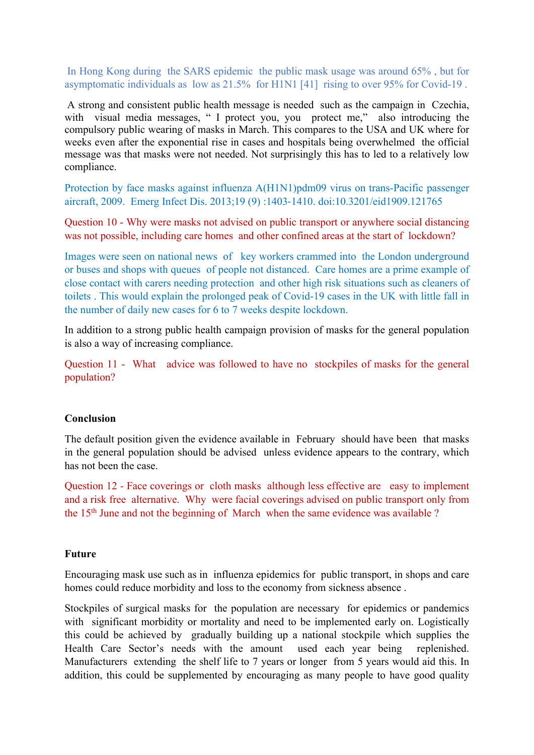In Hong Kong during the SARS epidemic the public mask usage was around 65% , but for asymptomatic individuals as low as 21.5% for H1N1 [41] rising to over 95% for Covid-19 .

A strong and consistent public health message is needed such as the campaign in Czechia, with visual media messages, " I protect you, you protect me," also introducing the compulsory public wearing of masks in March. This compares to the USA and UK where for weeks even after the exponential rise in cases and hospitals being overwhelmed the official message was that masks were not needed. Not surprisingly this has to led to a relatively low compliance.

Protection by face masks against influenza A(H1N1)pdm09 virus on trans-Pacific passenger aircraft, 2009. Emerg Infect Dis. 2013;19 (9) :1403‐1410. doi:10.3201/eid1909.121765

Question 10 - Why were masks not advised on public transport or anywhere social distancing was not possible, including care homes and other confined areas at the start of lockdown?

Images were seen on national news of key workers crammed into the London underground or buses and shops with queues of people not distanced. Care homes are a prime example of close contact with carers needing protection and other high risk situations such as cleaners of toilets . This would explain the prolonged peak of Covid-19 cases in the UK with little fall in the number of daily new cases for 6 to 7 weeks despite lockdown.

In addition to a strong public health campaign provision of masks for the general population is also a way of increasing compliance.

Question 11 - What advice was followed to have no stockpiles of masks for the general population?

### **Conclusion**

The default position given the evidence available in February should have been that masks in the general population should be advised unless evidence appears to the contrary, which has not been the case.

Question 12 - Face coverings or cloth masks although less effective are easy to implement and a risk free alternative. Why were facial coverings advised on public transport only from the 15th June and not the beginning of March when the same evidence was available ?

#### **Future**

Encouraging mask use such as in influenza epidemics for public transport, in shops and care homes could reduce morbidity and loss to the economy from sickness absence .

Stockpiles of surgical masks for the population are necessary for epidemics or pandemics with significant morbidity or mortality and need to be implemented early on. Logistically this could be achieved by gradually building up a national stockpile which supplies the Health Care Sector's needs with the amount used each year being replenished. Manufacturers extending the shelf life to 7 years or longer from 5 years would aid this. In addition, this could be supplemented by encouraging as many people to have good quality